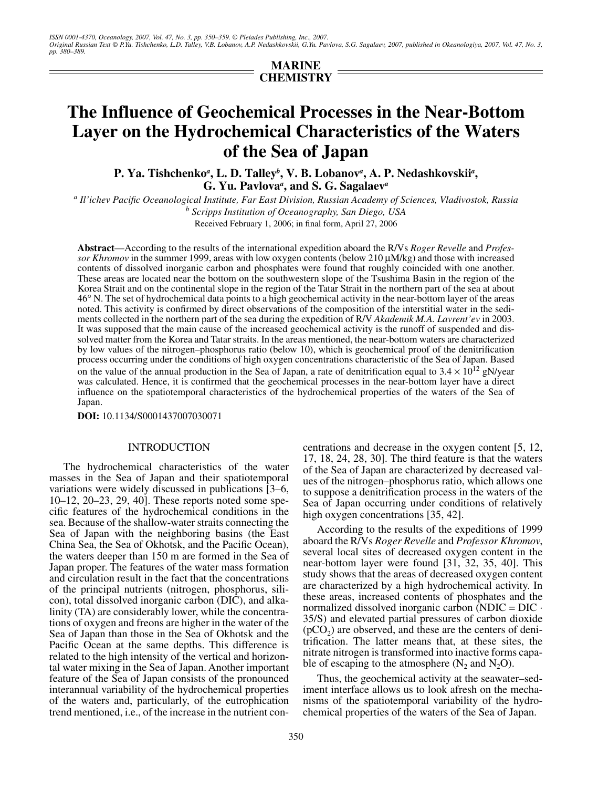**MARINE CHEMISTRY**

# **The Influence of Geochemical Processes in the Near-Bottom Layer on the Hydrochemical Characteristics of the Waters of the Sea of Japan**

**P. Ya. Tishchenko***<sup>a</sup>* **, L. D. Talley***<sup>b</sup>* **, V. B. Lobanov***<sup>a</sup>* **, A. P. Nedashkovskii***<sup>a</sup>* **, G. Yu. Pavlova***<sup>a</sup>* **, and S. G. Sagalaev***<sup>a</sup>*

*a Il'ichev Pacific Oceanological Institute, Far East Division, Russian Academy of Sciences, Vladivostok, Russia b Scripps Institution of Oceanography, San Diego, USA*

Received February 1, 2006; in final form, April 27, 2006

**Abstract**—According to the results of the international expedition aboard the R/Vs *Roger Revelle* and *Professor Khromov* in the summer 1999, areas with low oxygen contents (below 210 µM/kg) and those with increased contents of dissolved inorganic carbon and phosphates were found that roughly coincided with one another. These areas are located near the bottom on the southwestern slope of the Tsushima Basin in the region of the Korea Strait and on the continental slope in the region of the Tatar Strait in the northern part of the sea at about 46° N. The set of hydrochemical data points to a high geochemical activity in the near-bottom layer of the areas noted. This activity is confirmed by direct observations of the composition of the interstitial water in the sediments collected in the northern part of the sea during the expedition of R/V *Akademik M.A. Lavrent'ev* in 2003. It was supposed that the main cause of the increased geochemical activity is the runoff of suspended and dissolved matter from the Korea and Tatar straits. In the areas mentioned, the near-bottom waters are characterized by low values of the nitrogen–phosphorus ratio (below 10), which is geochemical proof of the denitrification process occurring under the conditions of high oxygen concentrations characteristic of the Sea of Japan. Based on the value of the annual production in the Sea of Japan, a rate of denitrification equal to  $3.4 \times 10^{12}$  gN/year was calculated. Hence, it is confirmed that the geochemical processes in the near-bottom layer have a direct influence on the spatiotemporal characteristics of the hydrochemical properties of the waters of the Sea of Japan.

**DOI:** 10.1134/S0001437007030071

### INTRODUCTION

The hydrochemical characteristics of the water masses in the Sea of Japan and their spatiotemporal variations were widely discussed in publications [3–6, 10–12, 20–23, 29, 40]. These reports noted some specific features of the hydrochemical conditions in the sea. Because of the shallow-water straits connecting the Sea of Japan with the neighboring basins (the East China Sea, the Sea of Okhotsk, and the Pacific Ocean), the waters deeper than 150 m are formed in the Sea of Japan proper. The features of the water mass formation and circulation result in the fact that the concentrations of the principal nutrients (nitrogen, phosphorus, silicon), total dissolved inorganic carbon (DIC), and alkalinity (TA) are considerably lower, while the concentrations of oxygen and freons are higher in the water of the Sea of Japan than those in the Sea of Okhotsk and the Pacific Ocean at the same depths. This difference is related to the high intensity of the vertical and horizontal water mixing in the Sea of Japan. Another important feature of the Sea of Japan consists of the pronounced interannual variability of the hydrochemical properties of the waters and, particularly, of the eutrophication trend mentioned, i.e., of the increase in the nutrient concentrations and decrease in the oxygen content [5, 12, 17, 18, 24, 28, 30]. The third feature is that the waters of the Sea of Japan are characterized by decreased values of the nitrogen–phosphorus ratio, which allows one to suppose a denitrification process in the waters of the Sea of Japan occurring under conditions of relatively high oxygen concentrations [35, 42].

According to the results of the expeditions of 1999 aboard the R/Vs *Roger Revelle* and *Professor Khromov*, several local sites of decreased oxygen content in the near-bottom layer were found [31, 32, 35, 40]. This study shows that the areas of decreased oxygen content are characterized by a high hydrochemical activity. In these areas, increased contents of phosphates and the normalized dissolved inorganic carbon (NDIC =  $DIC \cdot$ 35/S) and elevated partial pressures of carbon dioxide  $(pCO<sub>2</sub>)$  are observed, and these are the centers of denitrification. The latter means that, at these sites, the nitrate nitrogen is transformed into inactive forms capable of escaping to the atmosphere  $(N_2 \text{ and } N_2O)$ .

Thus, the geochemical activity at the seawater–sediment interface allows us to look afresh on the mechanisms of the spatiotemporal variability of the hydrochemical properties of the waters of the Sea of Japan.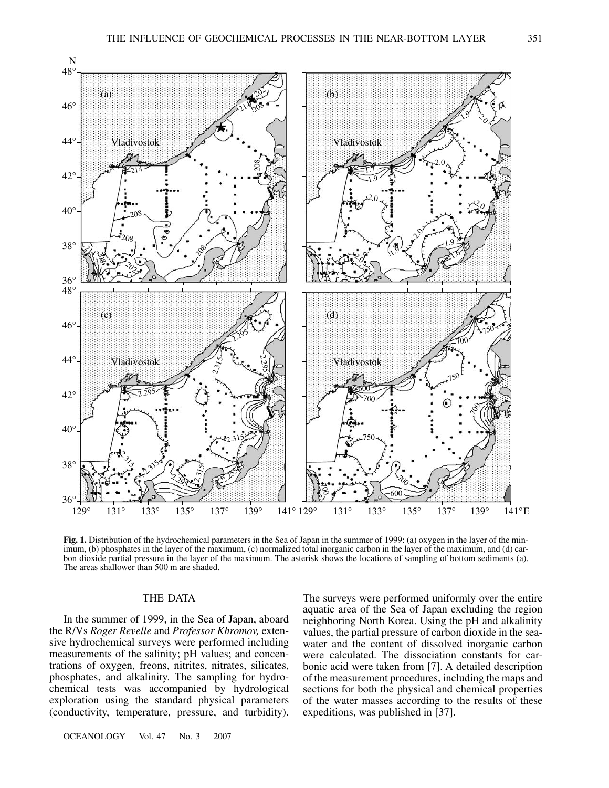

**Fig. 1.** Distribution of the hydrochemical parameters in the Sea of Japan in the summer of 1999: (a) oxygen in the layer of the minimum, (b) phosphates in the layer of the maximum, (c) normalized total inorganic carbon in the layer of the maximum, and (d) carbon dioxide partial pressure in the layer of the maximum. The asterisk shows the locations of sampling of bottom sediments (a). The areas shallower than 500 m are shaded.

# THE DATA

In the summer of 1999, in the Sea of Japan, aboard the R/Vs *Roger Revelle* and *Professor Khromov,* extensive hydrochemical surveys were performed including measurements of the salinity; pH values; and concentrations of oxygen, freons, nitrites, nitrates, silicates, phosphates, and alkalinity. The sampling for hydrochemical tests was accompanied by hydrological exploration using the standard physical parameters (conductivity, temperature, pressure, and turbidity). The surveys were performed uniformly over the entire aquatic area of the Sea of Japan excluding the region neighboring North Korea. Using the pH and alkalinity values, the partial pressure of carbon dioxide in the seawater and the content of dissolved inorganic carbon were calculated. The dissociation constants for carbonic acid were taken from [7]. A detailed description of the measurement procedures, including the maps and sections for both the physical and chemical properties of the water masses according to the results of these expeditions, was published in [37].

OCEANOLOGY Vol. 47 No. 3 2007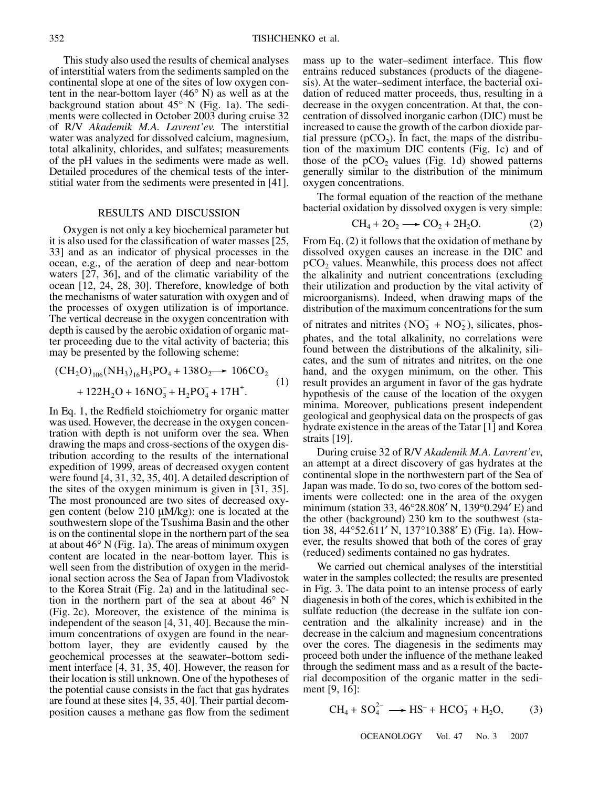This study also used the results of chemical analyses of interstitial waters from the sediments sampled on the continental slope at one of the sites of low oxygen content in the near-bottom layer (46° N) as well as at the background station about 45° N (Fig. 1a). The sediments were collected in October 2003 during cruise 32 of R/V *Akademik M.A. Lavrent'ev.* The interstitial water was analyzed for dissolved calcium, magnesium, total alkalinity, chlorides, and sulfates; measurements of the pH values in the sediments were made as well. Detailed procedures of the chemical tests of the interstitial water from the sediments were presented in [41].

## RESULTS AND DISCUSSION

Oxygen is not only a key biochemical parameter but it is also used for the classification of water masses [25, 33] and as an indicator of physical processes in the ocean, e.g., of the aeration of deep and near-bottom waters [27, 36], and of the climatic variability of the ocean [12, 24, 28, 30]. Therefore, knowledge of both the mechanisms of water saturation with oxygen and of the processes of oxygen utilization is of importance. The vertical decrease in the oxygen concentration with depth is caused by the aerobic oxidation of organic matter proceeding due to the vital activity of bacteria; this may be presented by the following scheme:

$$
(CH2O)106(NH3)16H3PO4 + 138O2 + 106CO2 + 122H2O + 16NO3- + H2PO4- + 17H+.
$$
 (1)

In Eq. 1, the Redfield stoichiometry for organic matter was used. However, the decrease in the oxygen concentration with depth is not uniform over the sea. When drawing the maps and cross-sections of the oxygen distribution according to the results of the international expedition of 1999, areas of decreased oxygen content were found [4, 31, 32, 35, 40]. A detailed description of the sites of the oxygen minimum is given in [31, 35]. The most pronounced are two sites of decreased oxygen content (below 210 µM/kg): one is located at the southwestern slope of the Tsushima Basin and the other is on the continental slope in the northern part of the sea at about 46° N (Fig. 1a). The areas of minimum oxygen content are located in the near-bottom layer. This is well seen from the distribution of oxygen in the meridional section across the Sea of Japan from Vladivostok to the Korea Strait (Fig. 2a) and in the latitudinal section in the northern part of the sea at about 46° N (Fig. 2c). Moreover, the existence of the minima is independent of the season [4, 31, 40]. Because the minimum concentrations of oxygen are found in the nearbottom layer, they are evidently caused by the geochemical processes at the seawater–bottom sediment interface [4, 31, 35, 40]. However, the reason for their location is still unknown. One of the hypotheses of the potential cause consists in the fact that gas hydrates are found at these sites [4, 35, 40]. Their partial decomposition causes a methane gas flow from the sediment mass up to the water–sediment interface. This flow entrains reduced substances (products of the diagenesis). At the water–sediment interface, the bacterial oxidation of reduced matter proceeds, thus, resulting in a decrease in the oxygen concentration. At that, the concentration of dissolved inorganic carbon (DIC) must be increased to cause the growth of the carbon dioxide partial pressure ( $pCO<sub>2</sub>$ ). In fact, the maps of the distribution of the maximum DIC contents (Fig. 1c) and of those of the  $pCO<sub>2</sub>$  values (Fig. 1d) showed patterns generally similar to the distribution of the minimum oxygen concentrations.

The formal equation of the reaction of the methane bacterial oxidation by dissolved oxygen is very simple:

$$
CH_4 + 2O_2 \longrightarrow CO_2 + 2H_2O. \tag{2}
$$

From Eq. (2) it follows that the oxidation of methane by dissolved oxygen causes an increase in the DIC and  $pCO<sub>2</sub>$  values. Meanwhile, this process does not affect the alkalinity and nutrient concentrations (excluding their utilization and production by the vital activity of microorganisms). Indeed, when drawing maps of the distribution of the maximum concentrations for the sum

of nitrates and nitrites  $(NO<sub>3</sub><sup>-</sup> + NO<sub>2</sub><sup>-</sup>)$ , silicates, phosphates, and the total alkalinity, no correlations were found between the distributions of the alkalinity, silicates, and the sum of nitrates and nitrites, on the one hand, and the oxygen minimum, on the other. This result provides an argument in favor of the gas hydrate hypothesis of the cause of the location of the oxygen minima. Moreover, publications present independent geological and geophysical data on the prospects of gas hydrate existence in the areas of the Tatar [1] and Korea straits [19].

During cruise 32 of R/V *Akademik M.A. Lavrent'ev*, an attempt at a direct discovery of gas hydrates at the continental slope in the northwestern part of the Sea of Japan was made. To do so, two cores of the bottom sediments were collected: one in the area of the oxygen minimum (station 33, 46°28.808′ N, 139°0.294′ E) and the other (background) 230 km to the southwest (station 38, 44°52.611′ N, 137°10.388′ E) (Fig. 1a). However, the results showed that both of the cores of gray (reduced) sediments contained no gas hydrates.

We carried out chemical analyses of the interstitial water in the samples collected; the results are presented in Fig. 3. The data point to an intense process of early diagenesis in both of the cores, which is exhibited in the sulfate reduction (the decrease in the sulfate ion concentration and the alkalinity increase) and in the decrease in the calcium and magnesium concentrations over the cores. The diagenesis in the sediments may proceed both under the influence of the methane leaked through the sediment mass and as a result of the bacterial decomposition of the organic matter in the sediment [9, 16]:

$$
CH_4 + SO_4^{2-} \longrightarrow HS^- + HCO_3^- + H_2O, \tag{3}
$$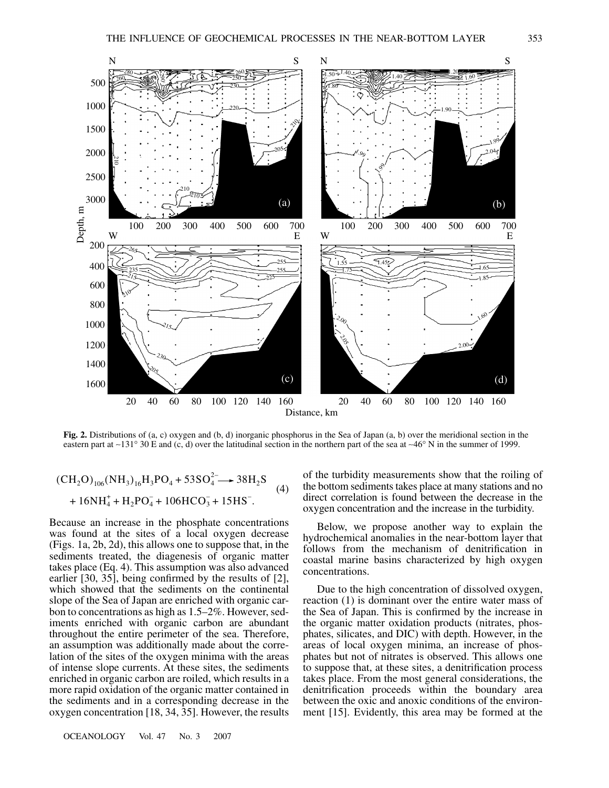

**Fig. 2.** Distributions of (a, c) oxygen and (b, d) inorganic phosphorus in the Sea of Japan (a, b) over the meridional section in the eastern part at ∼131° 30 E and (c, d) over the latitudinal section in the northern part of the sea at ∼46° N in the summer of 1999.

$$
(CH2O)106(NH3)16H3PO4 + 53SO42 \longrightarrow 38H2S+ 16NH4+ + H2PO4- + 106HCO3- + 15HS-.
$$
 (4)

Because an increase in the phosphate concentrations was found at the sites of a local oxygen decrease (Figs. 1a, 2b, 2d), this allows one to suppose that, in the sediments treated, the diagenesis of organic matter takes place (Eq. 4). This assumption was also advanced earlier [30, 35], being confirmed by the results of [2], which showed that the sediments on the continental slope of the Sea of Japan are enriched with organic carbon to concentrations as high as 1.5–2%. However, sediments enriched with organic carbon are abundant throughout the entire perimeter of the sea. Therefore, an assumption was additionally made about the correlation of the sites of the oxygen minima with the areas of intense slope currents. At these sites, the sediments enriched in organic carbon are roiled, which results in a more rapid oxidation of the organic matter contained in the sediments and in a corresponding decrease in the oxygen concentration [18, 34, 35]. However, the results

OCEANOLOGY Vol. 47 No. 3 2007

of the turbidity measurements show that the roiling of the bottom sediments takes place at many stations and no direct correlation is found between the decrease in the oxygen concentration and the increase in the turbidity.

Below, we propose another way to explain the hydrochemical anomalies in the near-bottom layer that follows from the mechanism of denitrification in coastal marine basins characterized by high oxygen concentrations.

Due to the high concentration of dissolved oxygen, reaction (1) is dominant over the entire water mass of the Sea of Japan. This is confirmed by the increase in the organic matter oxidation products (nitrates, phosphates, silicates, and DIC) with depth. However, in the areas of local oxygen minima, an increase of phosphates but not of nitrates is observed. This allows one to suppose that, at these sites, a denitrification process takes place. From the most general considerations, the denitrification proceeds within the boundary area between the oxic and anoxic conditions of the environment [15]. Evidently, this area may be formed at the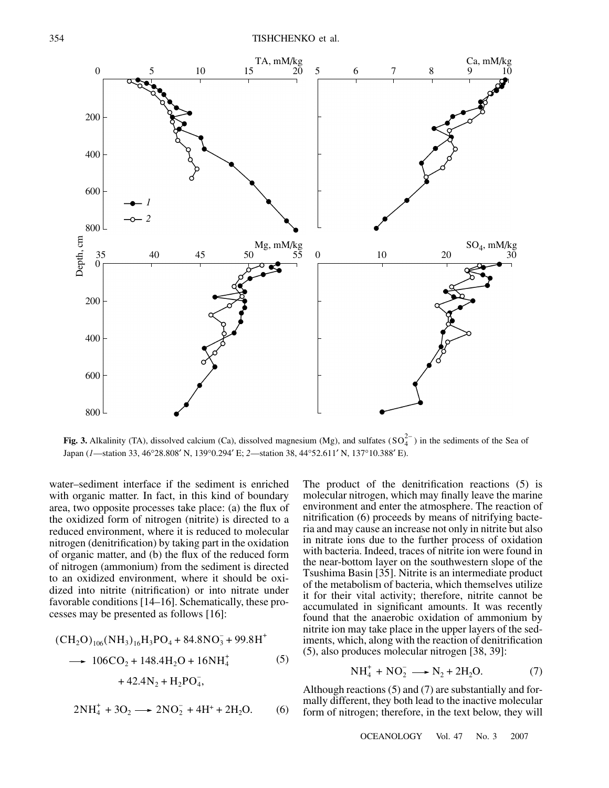

**Fig. 3.** Alkalinity (TA), dissolved calcium (Ca), dissolved magnesium (Mg), and sulfates  $(SO_4^{2-})$  in the sediments of the Sea of Japan (*1*—station 33, 46°28.808′ N, 139°0.294′ E; *2*—station 38, 44°52.611′ N, 137°10.388′ E).

water–sediment interface if the sediment is enriched with organic matter. In fact, in this kind of boundary area, two opposite processes take place: (a) the flux of the oxidized form of nitrogen (nitrite) is directed to a reduced environment, where it is reduced to molecular nitrogen (denitrification) by taking part in the oxidation of organic matter, and (b) the flux of the reduced form of nitrogen (ammonium) from the sediment is directed to an oxidized environment, where it should be oxidized into nitrite (nitrification) or into nitrate under favorable conditions [14–16]. Schematically, these processes may be presented as follows [16]:

$$
(CH2O)106(NH3)16H3PO4 + 84.8NO3- + 99.8H+\n→ 106CO2 + 148.4H2O + 16NH4+ (5)\n+ 42.4N2 + H2PO4-,\n2NH4+ + 3O2 → 2NO2- + 4H+ + 2H2O. (6)
$$

The product of the denitrification reactions (5) is molecular nitrogen, which may finally leave the marine environment and enter the atmosphere. The reaction of nitrification (6) proceeds by means of nitrifying bacteria and may cause an increase not only in nitrite but also in nitrate ions due to the further process of oxidation with bacteria. Indeed, traces of nitrite ion were found in the near-bottom layer on the southwestern slope of the Tsushima Basin [35]. Nitrite is an intermediate product of the metabolism of bacteria, which themselves utilize it for their vital activity; therefore, nitrite cannot be accumulated in significant amounts. It was recently found that the anaerobic oxidation of ammonium by nitrite ion may take place in the upper layers of the sediments, which, along with the reaction of denitrification (5), also produces molecular nitrogen [38, 39]:

$$
NH_4^+ + NO_2^- \longrightarrow N_2 + 2H_2O. \tag{7}
$$

Although reactions (5) and (7) are substantially and formally different, they both lead to the inactive molecular form of nitrogen; therefore, in the text below, they will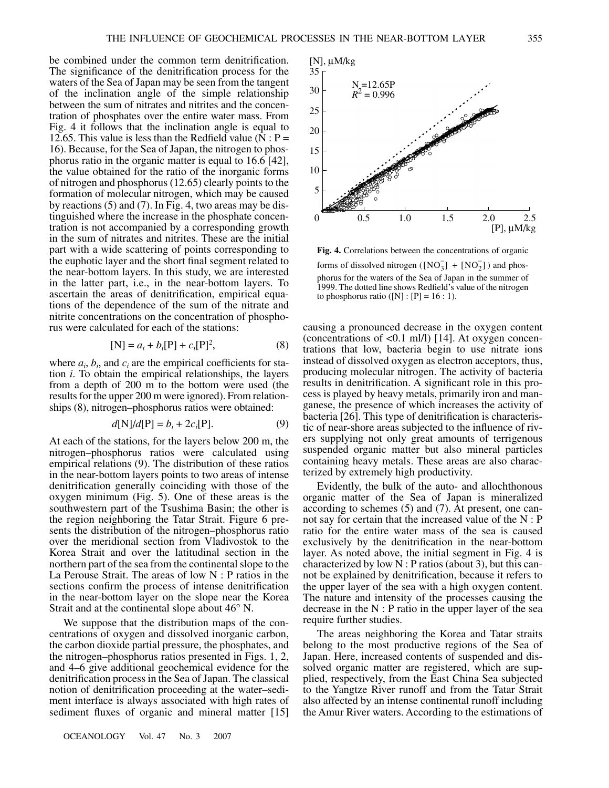be combined under the common term denitrification. The significance of the denitrification process for the waters of the Sea of Japan may be seen from the tangent of the inclination angle of the simple relationship between the sum of nitrates and nitrites and the concentration of phosphates over the entire water mass. From Fig. 4 it follows that the inclination angle is equal to 12.65. This value is less than the Redfield value ( $N : P =$ 16). Because, for the Sea of Japan, the nitrogen to phosphorus ratio in the organic matter is equal to 16.6 [42], the value obtained for the ratio of the inorganic forms of nitrogen and phosphorus (12.65) clearly points to the formation of molecular nitrogen, which may be caused by reactions (5) and (7). In Fig. 4, two areas may be distinguished where the increase in the phosphate concentration is not accompanied by a corresponding growth in the sum of nitrates and nitrites. These are the initial part with a wide scattering of points corresponding to the euphotic layer and the short final segment related to the near-bottom layers. In this study, we are interested in the latter part, i.e., in the near-bottom layers. To ascertain the areas of denitrification, empirical equations of the dependence of the sum of the nitrate and nitrite concentrations on the concentration of phosphorus were calculated for each of the stations:

$$
[N] = a_i + b_i[P] + c_i[P]^2,
$$
 (8)

where  $a_i$ ,  $b_i$ , and  $c_i$  are the empirical coefficients for station *i*. To obtain the empirical relationships, the layers from a depth of 200 m to the bottom were used (the results for the upper 200 m were ignored). From relationships (8), nitrogen–phosphorus ratios were obtained:

$$
d[N]/d[P] = b_i + 2c_i[P].
$$
 (9)

At each of the stations, for the layers below 200 m, the nitrogen–phosphorus ratios were calculated using empirical relations (9). The distribution of these ratios in the near-bottom layers points to two areas of intense denitrification generally coinciding with those of the oxygen minimum (Fig. 5). One of these areas is the southwestern part of the Tsushima Basin; the other is the region neighboring the Tatar Strait. Figure 6 presents the distribution of the nitrogen–phosphorus ratio over the meridional section from Vladivostok to the Korea Strait and over the latitudinal section in the northern part of the sea from the continental slope to the La Perouse Strait. The areas of low N : P ratios in the sections confirm the process of intense denitrification in the near-bottom layer on the slope near the Korea Strait and at the continental slope about 46° N.

We suppose that the distribution maps of the concentrations of oxygen and dissolved inorganic carbon, the carbon dioxide partial pressure, the phosphates, and the nitrogen–phosphorus ratios presented in Figs. 1, 2, and 4–6 give additional geochemical evidence for the denitrification process in the Sea of Japan. The classical notion of denitrification proceeding at the water–sediment interface is always associated with high rates of sediment fluxes of organic and mineral matter [15]



**Fig. 4.** Correlations between the concentrations of organic forms of dissolved nitrogen ( $[NO<sub>3</sub><sup>-</sup>] + [NO<sub>2</sub><sup>-</sup>]$ ) and phosphorus for the waters of the Sea of Japan in the summer of 1999. The dotted line shows Redfield's value of the nitrogen to phosphorus ratio ([N] : [P] =  $16:1$ ).

causing a pronounced decrease in the oxygen content (concentrations of  $< 0.1$  ml/l) [14]. At oxygen concentrations that low, bacteria begin to use nitrate ions instead of dissolved oxygen as electron acceptors, thus, producing molecular nitrogen. The activity of bacteria results in denitrification. A significant role in this process is played by heavy metals, primarily iron and manganese, the presence of which increases the activity of bacteria [26]. This type of denitrification is characteristic of near-shore areas subjected to the influence of rivers supplying not only great amounts of terrigenous suspended organic matter but also mineral particles containing heavy metals. These areas are also characterized by extremely high productivity.

Evidently, the bulk of the auto- and allochthonous organic matter of the Sea of Japan is mineralized according to schemes (5) and (7). At present, one cannot say for certain that the increased value of the N : P ratio for the entire water mass of the sea is caused exclusively by the denitrification in the near-bottom layer. As noted above, the initial segment in Fig. 4 is characterized by low  $N$  : P ratios (about 3), but this cannot be explained by denitrification, because it refers to the upper layer of the sea with a high oxygen content. The nature and intensity of the processes causing the decrease in the  $N : P$  ratio in the upper layer of the sea require further studies.

The areas neighboring the Korea and Tatar straits belong to the most productive regions of the Sea of Japan. Here, increased contents of suspended and dissolved organic matter are registered, which are supplied, respectively, from the East China Sea subjected to the Yangtze River runoff and from the Tatar Strait also affected by an intense continental runoff including the Amur River waters. According to the estimations of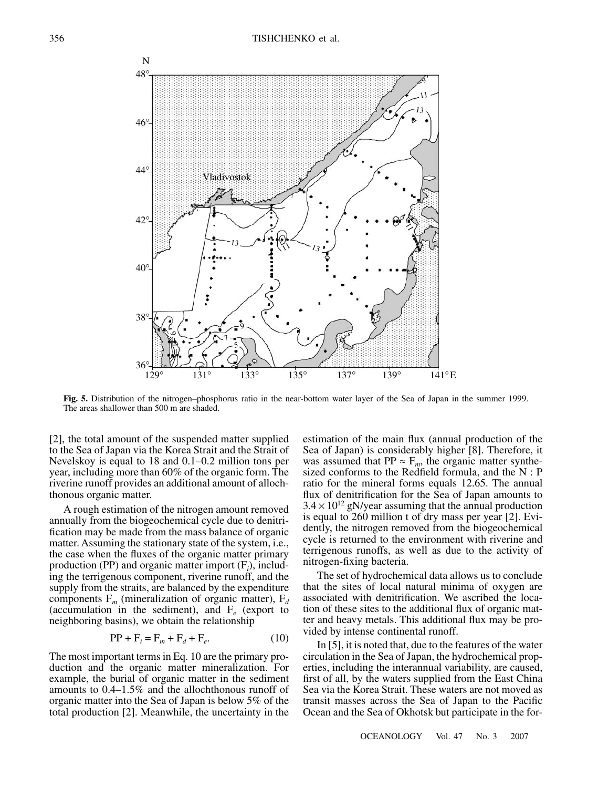

**Fig. 5.** Distribution of the nitrogen–phosphorus ratio in the near-bottom water layer of the Sea of Japan in the summer 1999. The areas shallower than 500 m are shaded.

[2], the total amount of the suspended matter supplied to the Sea of Japan via the Korea Strait and the Strait of Nevelskoy is equal to 18 and 0.1–0.2 million tons per year, including more than 60% of the organic form. The riverine runoff provides an additional amount of allochthonous organic matter.

A rough estimation of the nitrogen amount removed annually from the biogeochemical cycle due to denitrification may be made from the mass balance of organic matter. Assuming the stationary state of the system, i.e., the case when the fluxes of the organic matter primary production (PP) and organic matter import (F*<sup>i</sup>* ), including the terrigenous component, riverine runoff, and the supply from the straits, are balanced by the expenditure components  $F_m$  (mineralization of organic matter),  $F_d$ (accumulation in the sediment), and  $F_e$  (export to neighboring basins), we obtain the relationship

$$
PP + Fi = Fm + Fd + Fe.
$$
 (10)

The most important terms in Eq. 10 are the primary production and the organic matter mineralization. For example, the burial of organic matter in the sediment amounts to 0.4–1.5% and the allochthonous runoff of organic matter into the Sea of Japan is below 5% of the total production [2]. Meanwhile, the uncertainty in the estimation of the main flux (annual production of the Sea of Japan) is considerably higher [8]. Therefore, it was assumed that  $PP \approx F_m$ , the organic matter synthesized conforms to the Redfield formula, and the N : P ratio for the mineral forms equals 12.65. The annual flux of denitrification for the Sea of Japan amounts to  $3.4 \times 10^{12}$  gN/year assuming that the annual production is equal to 260 million t of dry mass per year [2]. Evidently, the nitrogen removed from the biogeochemical cycle is returned to the environment with riverine and terrigenous runoffs, as well as due to the activity of nitrogen-fixing bacteria.

The set of hydrochemical data allows us to conclude that the sites of local natural minima of oxygen are associated with denitrification. We ascribed the location of these sites to the additional flux of organic matter and heavy metals. This additional flux may be provided by intense continental runoff.

In [5], it is noted that, due to the features of the water circulation in the Sea of Japan, the hydrochemical properties, including the interannual variability, are caused, first of all, by the waters supplied from the East China Sea via the Korea Strait. These waters are not moved as transit masses across the Sea of Japan to the Pacific Ocean and the Sea of Okhotsk but participate in the for-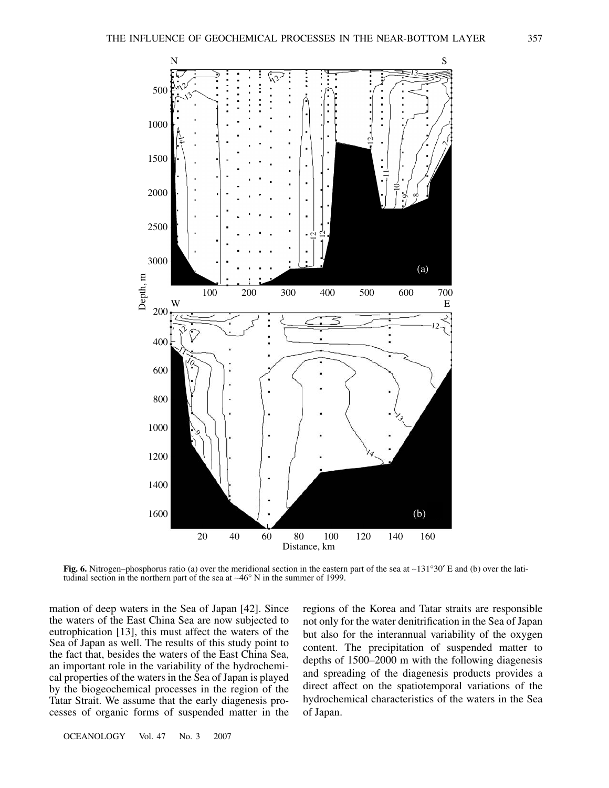

**Fig. 6.** Nitrogen–phosphorus ratio (a) over the meridional section in the eastern part of the sea at ∼131°30′ E and (b) over the latitudinal section in the northern part of the sea at ∼46° N in the summer of 1999.

mation of deep waters in the Sea of Japan [42]. Since the waters of the East China Sea are now subjected to eutrophication [13], this must affect the waters of the Sea of Japan as well. The results of this study point to the fact that, besides the waters of the East China Sea, an important role in the variability of the hydrochemical properties of the waters in the Sea of Japan is played by the biogeochemical processes in the region of the Tatar Strait. We assume that the early diagenesis processes of organic forms of suspended matter in the

regions of the Korea and Tatar straits are responsible not only for the water denitrification in the Sea of Japan but also for the interannual variability of the oxygen content. The precipitation of suspended matter to depths of 1500–2000 m with the following diagenesis and spreading of the diagenesis products provides a direct affect on the spatiotemporal variations of the hydrochemical characteristics of the waters in the Sea of Japan.

OCEANOLOGY Vol. 47 No. 3 2007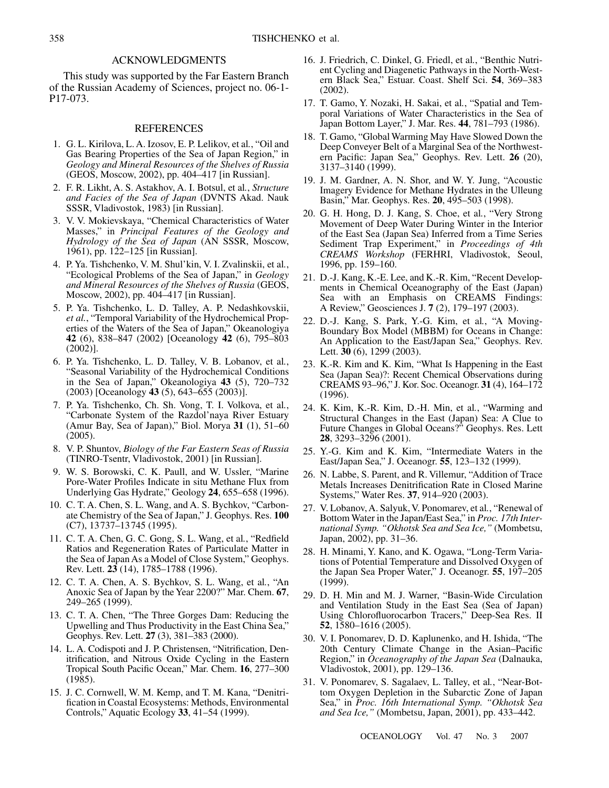### ACKNOWLEDGMENTS

This study was supported by the Far Eastern Branch of the Russian Academy of Sciences, project no. 06-1- P17-073.

#### REFERENCES

- 1. G. L. Kirilova, L. A. Izosov, E. P. Lelikov, et al*.*, "Oil and Gas Bearing Properties of the Sea of Japan Region," in *Geology and Mineral Resources of the Shelves of Russia* (GEOS, Moscow, 2002), pp. 404–417 [in Russian].
- 2. F. R. Likht, A. S. Astakhov, A. I. Botsul, et al*.*, *Structure and Facies of the Sea of Japan* (DVNTS Akad. Nauk SSSR, Vladivostok, 1983) [in Russian].
- 3. V. V. Mokievskaya, "Chemical Characteristics of Water Masses," in *Principal Features of the Geology and Hydrology of the Sea of Japan* (AN SSSR, Moscow, 1961), pp. 122–125 [in Russian].
- 4. P. Ya. Tishchenko, V. M. Shul'kin, V. I. Zvalinskii, et al*.*, "Ecological Problems of the Sea of Japan," in *Geology and Mineral Resources of the Shelves of Russia* (GEOS, Moscow, 2002), pp. 404–417 [in Russian].
- 5. P. Ya. Tishchenko, L. D. Talley, A. P. Nedashkovskii, *et al.*, "Temporal Variability of the Hydrochemical Properties of the Waters of the Sea of Japan," Okeanologiya **42** (6), 838–847 (2002) [Oceanology **42** (6), 795–803 (2002)].
- 6. P. Ya. Tishchenko, L. D. Talley, V. B. Lobanov, et al*.*, "Seasonal Variability of the Hydrochemical Conditions in the Sea of Japan," Okeanologiya **43** (5), 720–732 (2003) [Oceanology **43** (5), 643–655 (2003)].
- 7. P. Ya. Tishchenko, Ch. Sh. Vong, T. I. Volkova, et al*.*, "Carbonate System of the Razdol'naya River Estuary (Amur Bay, Sea of Japan)," Biol. Morya **31** (1), 51–60 (2005).
- 8. V. P. Shuntov, *Biology of the Far Eastern Seas of Russia* (TINRO-Tsentr, Vladivostok, 2001) [in Russian].
- 9. W. S. Borowski, C. K. Paull, and W. Ussler, "Marine Pore-Water Profiles Indicate in situ Methane Flux from Underlying Gas Hydrate," Geology **24**, 655–658 (1996).
- 10. C. T. A. Chen, S. L. Wang, and A. S. Bychkov, "Carbonate Chemistry of the Sea of Japan," J. Geophys. Res. **100** (C7), 13737–13745 (1995).
- 11. C. T. A. Chen, G. C. Gong, S. L. Wang, et al*.*, "Redfield Ratios and Regeneration Rates of Particulate Matter in the Sea of Japan As a Model of Close System," Geophys. Rev. Lett. **23** (14), 1785–1788 (1996).
- 12. C. T. A. Chen, A. S. Bychkov, S. L. Wang, et al*.*, "An Anoxic Sea of Japan by the Year 2200?" Mar. Chem. **67**, 249–265 (1999).
- 13. C. T. A. Chen, "The Three Gorges Dam: Reducing the Upwelling and Thus Productivity in the East China Sea," Geophys. Rev. Lett. **27** (3), 381–383 (2000).
- 14. L. A. Codispoti and J. P. Christensen, "Nitrification, Denitrification, and Nitrous Oxide Cycling in the Eastern Tropical South Pacific Ocean," Mar. Chem. **16**, 277–300 (1985).
- 15. J. C. Cornwell, W. M. Kemp, and T. M. Kana, "Denitrification in Coastal Ecosystems: Methods, Environmental Controls," Aquatic Ecology **33**, 41–54 (1999).
- 16. J. Friedrich, C. Dinkel, G. Friedl, et al*.*, "Benthic Nutrient Cycling and Diagenetic Pathways in the North-Western Black Sea," Estuar. Coast. Shelf Sci. **54**, 369–383 (2002).
- 17. T. Gamo, Y. Nozaki, H. Sakai, et al*.*, "Spatial and Temporal Variations of Water Characteristics in the Sea of Japan Bottom Layer," J. Mar. Res. **44**, 781–793 (1986).
- 18. T. Gamo, "Global Warming May Have Slowed Down the Deep Conveyer Belt of a Marginal Sea of the Northwestern Pacific: Japan Sea," Geophys. Rev. Lett. **26** (20), 3137–3140 (1999).
- 19. J. M. Gardner, A. N. Shor, and W. Y. Jung, "Acoustic Imagery Evidence for Methane Hydrates in the Ulleung Basin," Mar. Geophys. Res. **20**, 495–503 (1998).
- 20. G. H. Hong, D. J. Kang, S. Choe, et al*.*, "Very Strong Movement of Deep Water During Winter in the Interior of the East Sea (Japan Sea) Inferred from a Time Series Sediment Trap Experiment," in *Proceedings of 4th CREAMS Workshop* (FERHRI, Vladivostok, Seoul, 1996, pp. 159–160.
- 21. D.-J. Kang, K.-E. Lee, and K.-R. Kim, "Recent Developments in Chemical Oceanography of the East (Japan) Sea with an Emphasis on CREAMS Findings: A Review," Geosciences J. **7** (2), 179–197 (2003).
- 22. D.-J. Kang, S. Park, Y.-G. Kim, et al*.*, "A Moving-Boundary Box Model (MBBM) for Oceans in Change: An Application to the East/Japan Sea," Geophys. Rev. Lett. **30** (6), 1299 (2003).
- 23. K.-R. Kim and K. Kim, "What Is Happening in the East Sea (Japan Sea)?: Recent Chemical Observations during CREAMS 93–96," J. Kor. Soc. Oceanogr. **31** (4), 164–172 (1996).
- 24. K. Kim, K.-R. Kim, D.-H. Min, et al*.*, "Warming and Structural Changes in the East (Japan) Sea: A Clue to Future Changes in Global Oceans?" Geophys. Res. Lett **28**, 3293–3296 (2001).
- 25. Y.-G. Kim and K. Kim, "Intermediate Waters in the East/Japan Sea," J. Oceanogr. **55**, 123–132 (1999).
- 26. N. Labbe, S. Parent, and R. Villemur, "Addition of Trace Metals Increases Denitrification Rate in Closed Marine Systems," Water Res. **37**, 914–920 (2003).
- 27. V. Lobanov, A. Salyuk, V. Ponomarev, et al*.*, "Renewal of Bottom Water in the Japan/East Sea," in *Proc. 17th International Symp. "Okhotsk Sea and Sea Ice,"* (Mombetsu, Japan, 2002), pp. 31–36.
- 28. H. Minami, Y. Kano, and K. Ogawa, "Long-Term Variations of Potential Temperature and Dissolved Oxygen of the Japan Sea Proper Water," J. Oceanogr. **55**, 197–205 (1999).
- 29. D. H. Min and M. J. Warner, "Basin-Wide Circulation and Ventilation Study in the East Sea (Sea of Japan) Using Chlorofluorocarbon Tracers," Deep-Sea Res. II **52**, 1580–1616 (2005).
- 30. V. I. Ponomarev, D. D. Kaplunenko, and H. Ishida, "The 20th Century Climate Change in the Asian–Pacific Region," in *Oceanography of the Japan Sea* (Dalnauka, Vladivostok, 2001), pp. 129–136.
- 31. V. Ponomarev, S. Sagalaev, L. Talley, et al*.*, "Near-Bottom Oxygen Depletion in the Subarctic Zone of Japan Sea," in *Proc. 16th International Symp. "Okhotsk Sea and Sea Ice,"* (Mombetsu, Japan, 2001), pp. 433–442.

OCEANOLOGY Vol. 47 No. 3 2007